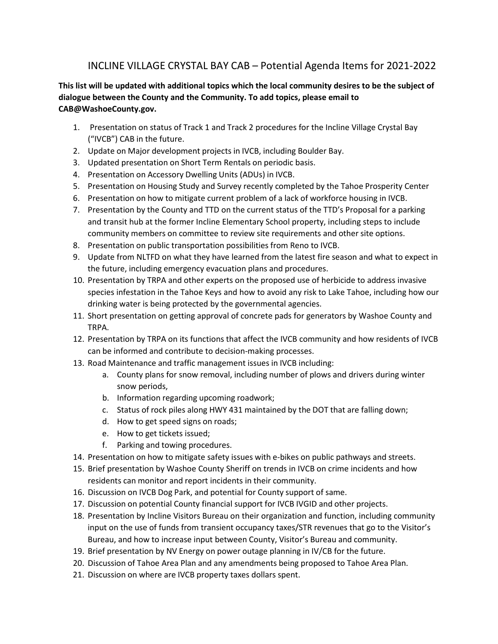## INCLINE VILLAGE CRYSTAL BAY CAB – Potential Agenda Items for 2021-2022

## **This list will be updated with additional topics which the local community desires to be the subject of dialogue between the County and the Community. To add topics, please email to [CAB@WashoeCounty.gov.](mailto:CAB@WashoeCounty.gov)**

- 1. Presentation on status of Track 1 and Track 2 procedures for the Incline Village Crystal Bay ("IVCB") CAB in the future.
- 2. Update on Major development projects in IVCB, including Boulder Bay.
- 3. Updated presentation on Short Term Rentals on periodic basis.
- 4. Presentation on Accessory Dwelling Units (ADUs) in IVCB.
- 5. Presentation on Housing Study and Survey recently completed by the Tahoe Prosperity Center
- 6. Presentation on how to mitigate current problem of a lack of workforce housing in IVCB.
- 7. Presentation by the County and TTD on the current status of the TTD's Proposal for a parking and transit hub at the former Incline Elementary School property, including steps to include community members on committee to review site requirements and other site options.
- 8. Presentation on public transportation possibilities from Reno to IVCB.
- 9. Update from NLTFD on what they have learned from the latest fire season and what to expect in the future, including emergency evacuation plans and procedures.
- 10. Presentation by TRPA and other experts on the proposed use of herbicide to address invasive species infestation in the Tahoe Keys and how to avoid any risk to Lake Tahoe, including how our drinking water is being protected by the governmental agencies.
- 11. Short presentation on getting approval of concrete pads for generators by Washoe County and TRPA.
- 12. Presentation by TRPA on its functions that affect the IVCB community and how residents of IVCB can be informed and contribute to decision-making processes.
- 13. Road Maintenance and traffic management issues in IVCB including:
	- a. County plans for snow removal, including number of plows and drivers during winter snow periods,
	- b. Information regarding upcoming roadwork;
	- c. Status of rock piles along HWY 431 maintained by the DOT that are falling down;
	- d. How to get speed signs on roads;
	- e. How to get tickets issued;
	- f. Parking and towing procedures.
- 14. Presentation on how to mitigate safety issues with e-bikes on public pathways and streets.
- 15. Brief presentation by Washoe County Sheriff on trends in IVCB on crime incidents and how residents can monitor and report incidents in their community.
- 16. Discussion on IVCB Dog Park, and potential for County support of same.
- 17. Discussion on potential County financial support for IVCB IVGID and other projects.
- 18. Presentation by Incline Visitors Bureau on their organization and function, including community input on the use of funds from transient occupancy taxes/STR revenues that go to the Visitor's Bureau, and how to increase input between County, Visitor's Bureau and community.
- 19. Brief presentation by NV Energy on power outage planning in IV/CB for the future.
- 20. Discussion of Tahoe Area Plan and any amendments being proposed to Tahoe Area Plan.
- 21. Discussion on where are IVCB property taxes dollars spent.